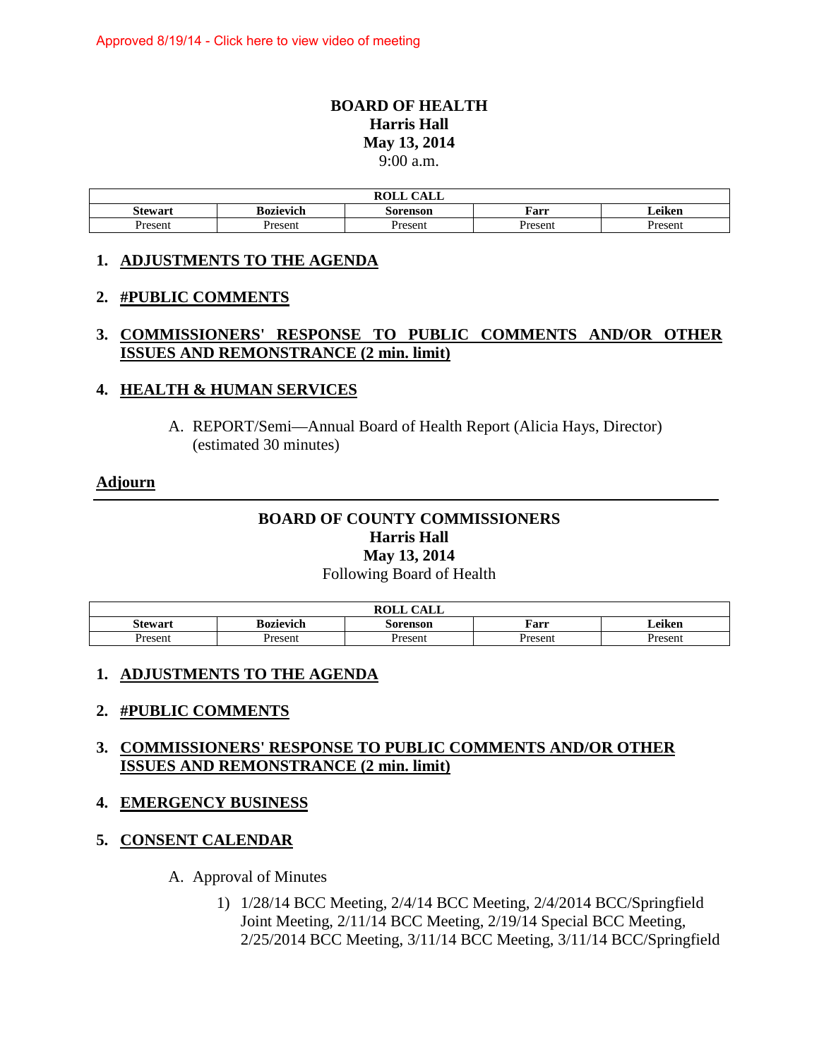# **BOARD OF HEALTH Harris Hall May 13, 2014**  9:00 a.m.

| $\bigcap$ $\bigcap$<br>ROLL<br>UALL |                  |          |         |        |
|-------------------------------------|------------------|----------|---------|--------|
| <b>Stewart</b>                      | <b>Bozievich</b> | Sorenson | Farr    | Leiken |
| Present                             | Present          | Present  | Present | resent |

#### **1. ADJUSTMENTS TO THE AGENDA**

#### **2. #PUBLIC COMMENTS**

# **3. COMMISSIONERS' RESPONSE TO PUBLIC COMMENTS AND/OR OTHER ISSUES AND REMONSTRANCE (2 min. limit)**

#### **4. HEALTH & HUMAN SERVICES**

A. REPORT/Semi—Annual Board of Health Report (Alicia Hays, Director) (estimated 30 minutes)

#### **Adjourn**

# **BOARD OF COUNTY COMMISSIONERS Harris Hall May 13, 2014**  Following Board of Health

|         |                  | DAI L<br>$\bigcap$ $\bigcap$ $\bigcap$<br>NVLL<br>CALL |                |         |
|---------|------------------|--------------------------------------------------------|----------------|---------|
| Stewart | <b>Bozievich</b> | Sorenson                                               | Farr           | ∠eiken  |
| resent  | Present          | resent                                                 | <b>Present</b> | Present |

# **1. ADJUSTMENTS TO THE AGENDA**

# **2. #PUBLIC COMMENTS**

# **3. COMMISSIONERS' RESPONSE TO PUBLIC COMMENTS AND/OR OTHER ISSUES AND REMONSTRANCE (2 min. limit)**

# **4. EMERGENCY BUSINESS**

# **5. CONSENT CALENDAR**

- A. Approval of Minutes
	- 1) 1/28/14 BCC Meeting, 2/4/14 BCC Meeting, 2/4/2014 BCC/Springfield Joint Meeting, 2/11/14 BCC Meeting, 2/19/14 Special BCC Meeting, 2/25/2014 BCC Meeting, 3/11/14 BCC Meeting, 3/11/14 BCC/Springfield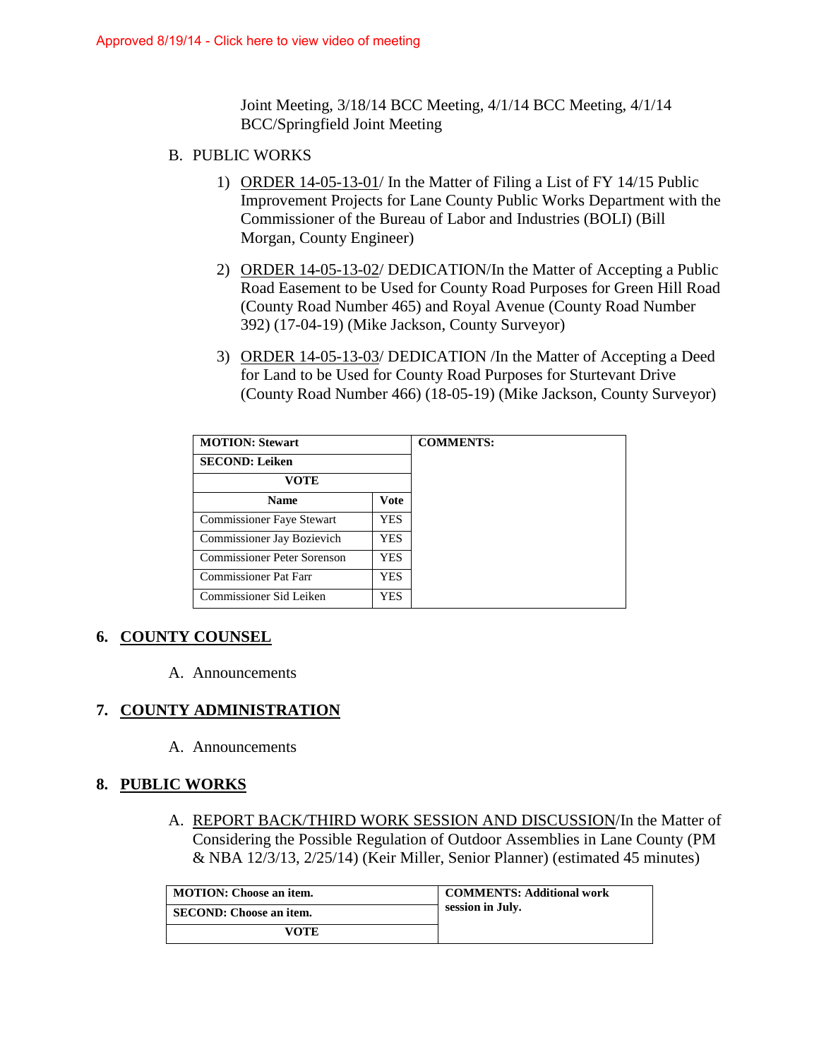Joint Meeting, 3/18/14 BCC Meeting, 4/1/14 BCC Meeting, 4/1/14 BCC/Springfield Joint Meeting

- B. PUBLIC WORKS
	- 1) ORDER 14-05-13-01/ In the Matter of Filing a List of FY 14/15 Public Improvement Projects for Lane County Public Works Department with the Commissioner of the Bureau of Labor and Industries (BOLI) (Bill Morgan, County Engineer)
	- 2) ORDER 14-05-13-02/ DEDICATION/In the Matter of Accepting a Public Road Easement to be Used for County Road Purposes for Green Hill Road (County Road Number 465) and Royal Avenue (County Road Number 392) (17-04-19) (Mike Jackson, County Surveyor)
	- 3) ORDER 14-05-13-03/ DEDICATION /In the Matter of Accepting a Deed for Land to be Used for County Road Purposes for Sturtevant Drive (County Road Number 466) (18-05-19) (Mike Jackson, County Surveyor)

| <b>MOTION: Stewart</b>           |      |  |
|----------------------------------|------|--|
| <b>SECOND: Leiken</b>            |      |  |
| <b>VOTE</b>                      |      |  |
| <b>Name</b>                      | Vote |  |
| <b>Commissioner Faye Stewart</b> | YES  |  |
| Commissioner Jay Bozievich       | YES. |  |
| Commissioner Peter Sorenson      | YES. |  |
| <b>Commissioner Pat Farr</b>     | YES. |  |
| Commissioner Sid Leiken          | YES. |  |

# **6. COUNTY COUNSEL**

A. Announcements

# **7. COUNTY ADMINISTRATION**

A. Announcements

# **8. PUBLIC WORKS**

A. REPORT BACK/THIRD WORK SESSION AND DISCUSSION/In the Matter of Considering the Possible Regulation of Outdoor Assemblies in Lane County (PM & NBA 12/3/13, 2/25/14) (Keir Miller, Senior Planner) (estimated 45 minutes)

| <b>MOTION: Choose an item.</b> | <b>COMMENTS: Additional work</b> |
|--------------------------------|----------------------------------|
| SECOND: Choose an item.        | session in July.                 |
| <b>VOTE</b>                    |                                  |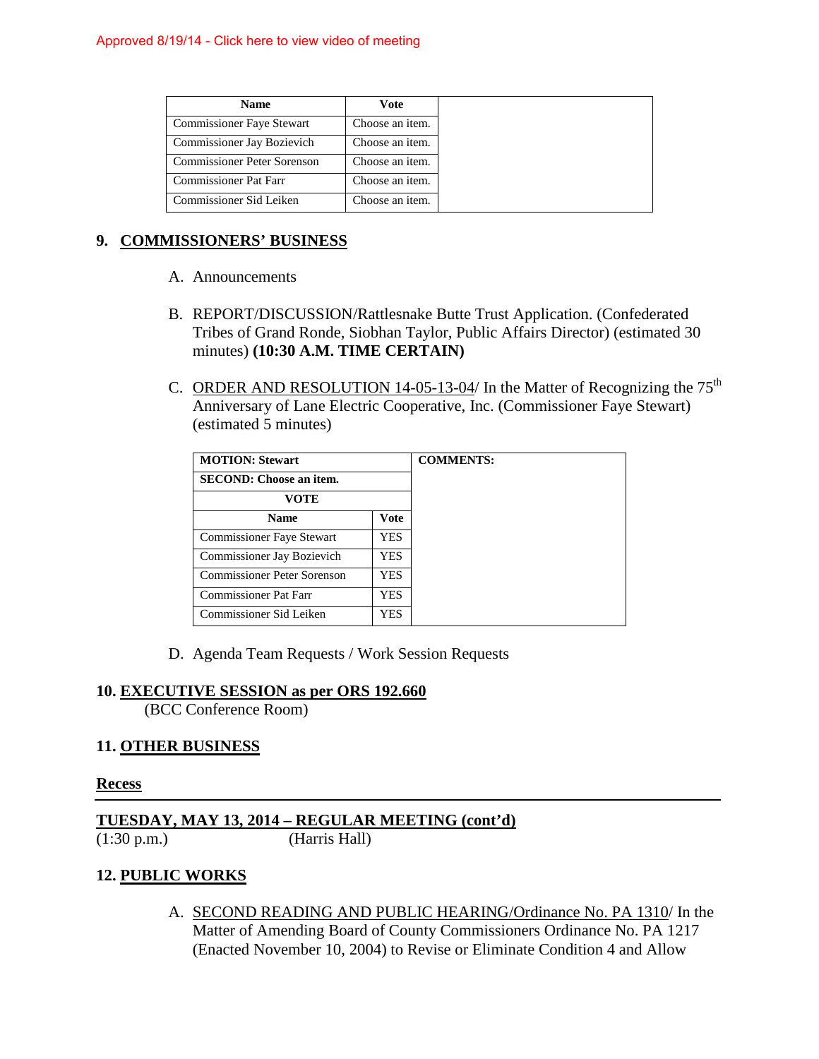| <b>Name</b>                        | Vote            |
|------------------------------------|-----------------|
| <b>Commissioner Faye Stewart</b>   | Choose an item. |
| Commissioner Jay Bozievich         | Choose an item. |
| <b>Commissioner Peter Sorenson</b> | Choose an item. |
| <b>Commissioner Pat Farr</b>       | Choose an item. |
| Commissioner Sid Leiken            | Choose an item. |

# **9. COMMISSIONERS' BUSINESS**

- A. Announcements
- B. REPORT/DISCUSSION/Rattlesnake Butte Trust Application. (Confederated Tribes of Grand Ronde, Siobhan Taylor, Public Affairs Director) (estimated 30 minutes) **(10:30 A.M. TIME CERTAIN)**
- C. ORDER AND RESOLUTION 14-05-13-04/ In the Matter of Recognizing the  $75<sup>th</sup>$ Anniversary of Lane Electric Cooperative, Inc. (Commissioner Faye Stewart) (estimated 5 minutes)

| <b>MOTION: Stewart</b>             |            |
|------------------------------------|------------|
| <b>SECOND:</b> Choose an item.     |            |
| VOTE                               |            |
| <b>Name</b>                        | Vote       |
| <b>Commissioner Faye Stewart</b>   | YES        |
| Commissioner Jay Bozievich         | YES        |
| <b>Commissioner Peter Sorenson</b> | YES.       |
| <b>Commissioner Pat Farr</b>       | <b>YES</b> |
| Commissioner Sid Leiken            | YES        |

D. Agenda Team Requests / Work Session Requests

#### **10. EXECUTIVE SESSION as per ORS 192.660**

(BCC Conference Room)

# **11. OTHER BUSINESS**

# **Recess**

**TUESDAY, MAY 13, 2014 – REGULAR MEETING (cont'd)**<br>(1:30 p.m.) (Harris Hall)

(Harris Hall)

# **12. PUBLIC WORKS**

A. SECOND READING AND PUBLIC HEARING/Ordinance No. PA 1310/ In the Matter of Amending Board of County Commissioners Ordinance No. PA 1217 (Enacted November 10, 2004) to Revise or Eliminate Condition 4 and Allow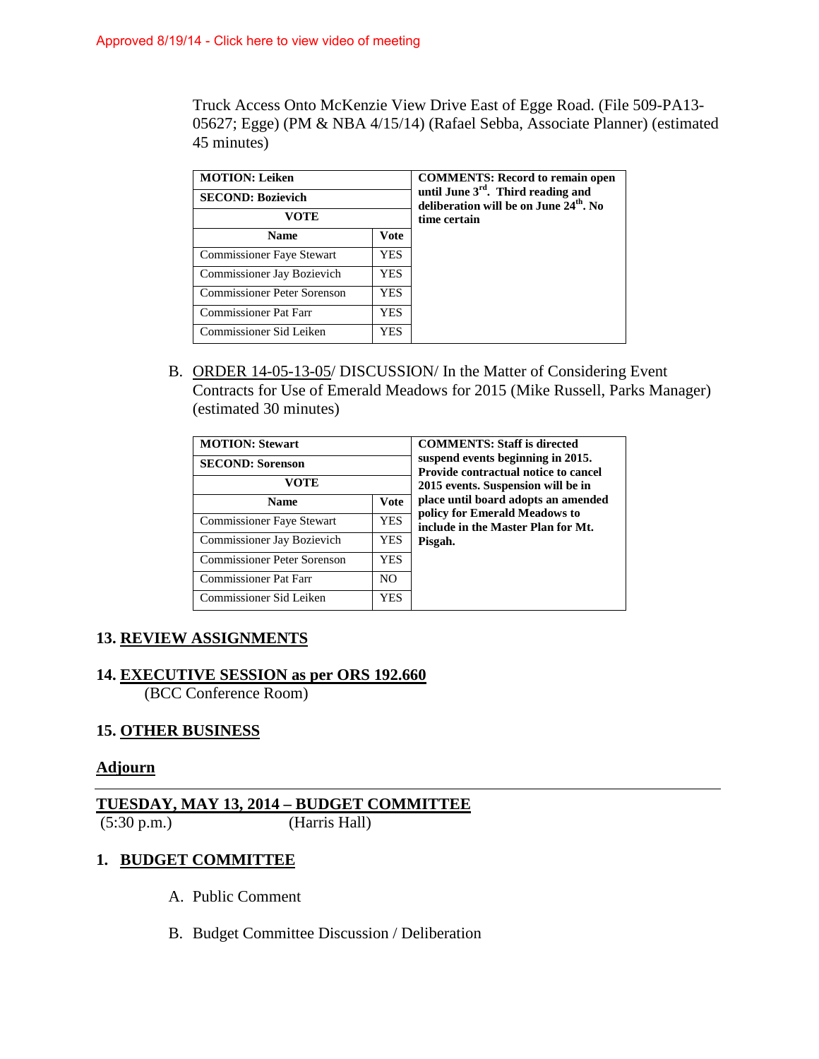Truck Access Onto McKenzie View Drive East of Egge Road. (File 509-PA13- 05627; Egge) (PM & NBA 4/15/14) (Rafael Sebba, Associate Planner) (estimated 45 minutes)

| <b>MOTION: Leiken</b><br><b>SECOND: Bozievich</b> |             | <b>COMMENTS: Record to remain open</b><br>until June 3rd. Third reading and<br>deliberation will be on June 24 <sup>th</sup> . No |
|---------------------------------------------------|-------------|-----------------------------------------------------------------------------------------------------------------------------------|
| <b>VOTE</b><br><b>Name</b>                        |             | time certain                                                                                                                      |
|                                                   | <b>Vote</b> |                                                                                                                                   |
| <b>Commissioner Faye Stewart</b>                  | YES.        |                                                                                                                                   |
| Commissioner Jay Bozievich                        | YES.        |                                                                                                                                   |
| Commissioner Peter Sorenson                       | YES.        |                                                                                                                                   |
| Commissioner Pat Farr                             | YES.        |                                                                                                                                   |
| Commissioner Sid Leiken                           | YES.        |                                                                                                                                   |

B. ORDER 14-05-13-05/ DISCUSSION/ In the Matter of Considering Event Contracts for Use of Emerald Meadows for 2015 (Mike Russell, Parks Manager) (estimated 30 minutes)

| <b>MOTION: Stewart</b><br><b>SECOND: Sorenson</b><br>VOTE | <b>COMMENTS: Staff is directed</b><br>suspend events beginning in 2015.<br>Provide contractual notice to cancel<br>2015 events. Suspension will be in |                                                                     |
|-----------------------------------------------------------|-------------------------------------------------------------------------------------------------------------------------------------------------------|---------------------------------------------------------------------|
| <b>Name</b>                                               | <b>Vote</b>                                                                                                                                           | place until board adopts an amended                                 |
| <b>Commissioner Faye Stewart</b>                          | <b>YES</b>                                                                                                                                            | policy for Emerald Meadows to<br>include in the Master Plan for Mt. |
| Commissioner Jay Bozievich                                | YES.                                                                                                                                                  | Pisgah.                                                             |
| <b>Commissioner Peter Sorenson</b>                        | <b>YES</b>                                                                                                                                            |                                                                     |
| <b>Commissioner Pat Farr</b>                              | N <sub>O</sub>                                                                                                                                        |                                                                     |
| Commissioner Sid Leiken                                   | YES                                                                                                                                                   |                                                                     |

# **13. REVIEW ASSIGNMENTS**

# **14. EXECUTIVE SESSION as per ORS 192.660**

(BCC Conference Room)

# **15. OTHER BUSINESS**

# **Adjourn**

# **TUESDAY, MAY 13, 2014 – BUDGET COMMITTEE** (5:30 p.m.) (Harris Hall)

# **1. BUDGET COMMITTEE**

- A. Public Comment
- B. Budget Committee Discussion / Deliberation